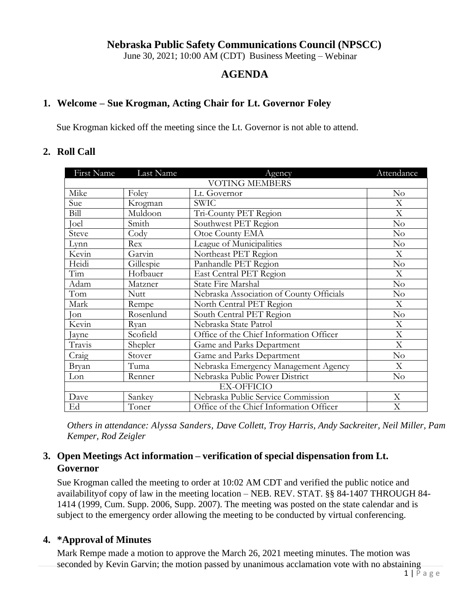### **Nebraska Public Safety Communications Council (NPSCC)**

June 30, 2021; 10:00 AM (CDT) Business Meeting – Webinar

### **AGENDA**

#### **1. Welcome – Sue Krogman, Acting Chair for Lt. Governor Foley**

Sue Krogman kicked off the meeting since the Lt. Governor is not able to attend.

#### **2. Roll Call**

| First Name            | Last Name   | Agency                                   | Attendance                |
|-----------------------|-------------|------------------------------------------|---------------------------|
| <b>VOTING MEMBERS</b> |             |                                          |                           |
| Mike                  | Foley       | Lt. Governor                             | No                        |
| Sue                   | Krogman     | <b>SWIC</b>                              | X                         |
| Bill                  | Muldoon     | Tri-County PET Region                    | X                         |
| Joel                  | Smith       | Southwest PET Region                     | No                        |
| Steve                 | Cody        | Otoe County EMA                          | No                        |
| Lynn                  | Rex         | League of Municipalities                 | No                        |
| Kevin                 | Garvin      | Northeast PET Region                     | X                         |
| Heidi                 | Gillespie   | Panhandle PET Region                     | No                        |
| Tim                   | Hofbauer    | East Central PET Region                  | X                         |
| Adam                  | Matzner     | <b>State Fire Marshal</b>                | No                        |
| Tom                   | <b>Nutt</b> | Nebraska Association of County Officials | No                        |
| Mark                  | Rempe       | North Central PET Region                 | X                         |
| Jon                   | Rosenlund   | South Central PET Region                 | No                        |
| Kevin                 | Ryan        | Nebraska State Patrol                    | $\boldsymbol{\mathrm{X}}$ |
| Jayne                 | Scofield    | Office of the Chief Information Officer  | X                         |
| Travis                | Shepler     | Game and Parks Department                | X                         |
| Craig                 | Stover      | Game and Parks Department                | No                        |
| Bryan                 | Tuma        | Nebraska Emergency Management Agency     | X                         |
| Lon                   | Renner      | Nebraska Public Power District           | No                        |
| <b>EX-OFFICIO</b>     |             |                                          |                           |
| Dave                  | Sankey      | Nebraska Public Service Commission       | X                         |
| Ed                    | Toner       | Office of the Chief Information Officer  | X                         |

*Others in attendance: Alyssa Sanders, Dave Collett, Troy Harris, Andy Sackreiter, Neil Miller, Pam Kemper, Rod Zeigler*

## **3. Open Meetings Act information – verification of special dispensation from Lt. Governor**

Sue Krogman called the meeting to order at 10:02 AM CDT and verified the public notice and availabilityof copy of law in the meeting location – NEB. REV. STAT. §§ 84-1407 THROUGH 84- 1414 (1999, Cum. Supp. 2006, Supp. 2007). The meeting was posted on the state calendar and is subject to the emergency order allowing the meeting to be conducted by virtual conferencing.

#### **4. \*Approval of Minutes**

Mark Rempe made a motion to approve the March 26, 2021 meeting minutes. The motion was seconded by Kevin Garvin; the motion passed by unanimous acclamation vote with no abstaining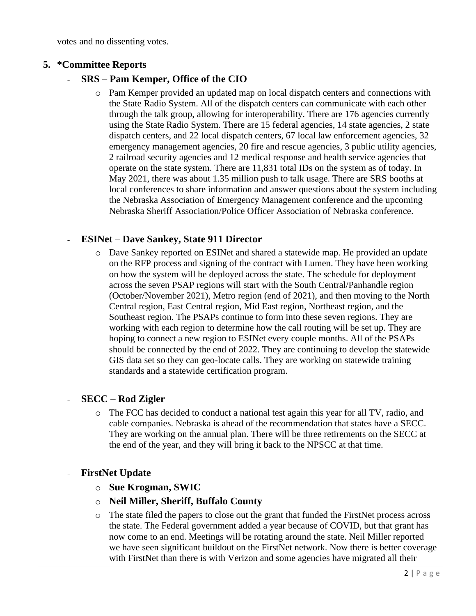votes and no dissenting votes.

### **5. \*Committee Reports**

### - **SRS – Pam Kemper, Office of the CIO**

o Pam Kemper provided an updated map on local dispatch centers and connections with the State Radio System. All of the dispatch centers can communicate with each other through the talk group, allowing for interoperability. There are 176 agencies currently using the State Radio System. There are 15 federal agencies, 14 state agencies, 2 state dispatch centers, and 22 local dispatch centers, 67 local law enforcement agencies, 32 emergency management agencies, 20 fire and rescue agencies, 3 public utility agencies, 2 railroad security agencies and 12 medical response and health service agencies that operate on the state system. There are 11,831 total IDs on the system as of today. In May 2021, there was about 1.35 million push to talk usage. There are SRS booths at local conferences to share information and answer questions about the system including the Nebraska Association of Emergency Management conference and the upcoming Nebraska Sheriff Association/Police Officer Association of Nebraska conference.

### - **ESINet – Dave Sankey, State 911 Director**

o Dave Sankey reported on ESINet and shared a statewide map. He provided an update on the RFP process and signing of the contract with Lumen. They have been working on how the system will be deployed across the state. The schedule for deployment across the seven PSAP regions will start with the South Central/Panhandle region (October/November 2021), Metro region (end of 2021), and then moving to the North Central region, East Central region, Mid East region, Northeast region, and the Southeast region. The PSAPs continue to form into these seven regions. They are working with each region to determine how the call routing will be set up. They are hoping to connect a new region to ESINet every couple months. All of the PSAPs should be connected by the end of 2022. They are continuing to develop the statewide GIS data set so they can geo-locate calls. They are working on statewide training standards and a statewide certification program.

#### - **SECC – Rod Zigler**

o The FCC has decided to conduct a national test again this year for all TV, radio, and cable companies. Nebraska is ahead of the recommendation that states have a SECC. They are working on the annual plan. There will be three retirements on the SECC at the end of the year, and they will bring it back to the NPSCC at that time.

#### - **FirstNet Update**

- o **Sue Krogman, SWIC**
- o **Neil Miller, Sheriff, Buffalo County**
- o The state filed the papers to close out the grant that funded the FirstNet process across the state. The Federal government added a year because of COVID, but that grant has now come to an end. Meetings will be rotating around the state. Neil Miller reported we have seen significant buildout on the FirstNet network. Now there is better coverage with FirstNet than there is with Verizon and some agencies have migrated all their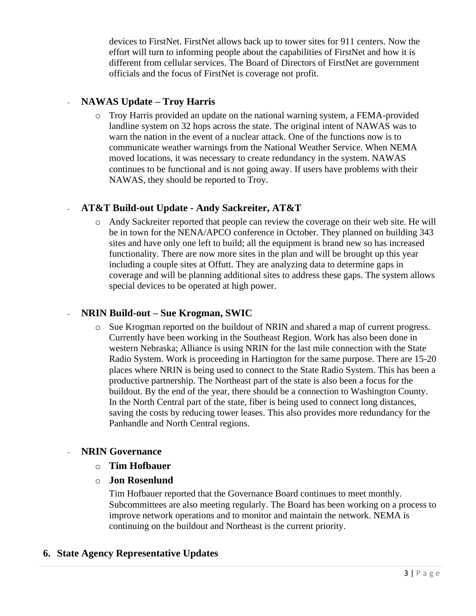devices to FirstNet. FirstNet allows back up to tower sites for 911 centers. Now the effort will turn to informing people about the capabilities of FirstNet and how it is different from cellular services. The Board of Directors of FirstNet are government officials and the focus of FirstNet is coverage not profit.

## - **NAWAS Update – Troy Harris**

o Troy Harris provided an update on the national warning system, a FEMA-provided landline system on 32 hops across the state. The original intent of NAWAS was to warn the nation in the event of a nuclear attack. One of the functions now is to communicate weather warnings from the National Weather Service. When NEMA moved locations, it was necessary to create redundancy in the system. NAWAS continues to be functional and is not going away. If users have problems with their NAWAS, they should be reported to Troy.

## - **AT&T Build-out Update - Andy Sackreiter, AT&T**

o Andy Sackreiter reported that people can review the coverage on their web site. He will be in town for the NENA/APCO conference in October. They planned on building 343 sites and have only one left to build; all the equipment is brand new so has increased functionality. There are now more sites in the plan and will be brought up this year including a couple sites at Offutt. They are analyzing data to determine gaps in coverage and will be planning additional sites to address these gaps. The system allows special devices to be operated at high power.

### - **NRIN Build-out – Sue Krogman, SWIC**

o Sue Krogman reported on the buildout of NRIN and shared a map of current progress. Currently have been working in the Southeast Region. Work has also been done in western Nebraska; Alliance is using NRIN for the last mile connection with the State Radio System. Work is proceeding in Hartington for the same purpose. There are 15-20 places where NRIN is being used to connect to the State Radio System. This has been a productive partnership. The Northeast part of the state is also been a focus for the buildout. By the end of the year, there should be a connection to Washington County. In the North Central part of the state, fiber is being used to connect long distances, saving the costs by reducing tower leases. This also provides more redundancy for the Panhandle and North Central regions.

### - **NRIN Governance**

- o **Tim Hofbauer**
- o **Jon Rosenlund**

Tim Hofbauer reported that the Governance Board continues to meet monthly. Subcommittees are also meeting regularly. The Board has been working on a process to improve network operations and to monitor and maintain the network. NEMA is continuing on the buildout and Northeast is the current priority.

### **6. State Agency Representative Updates**